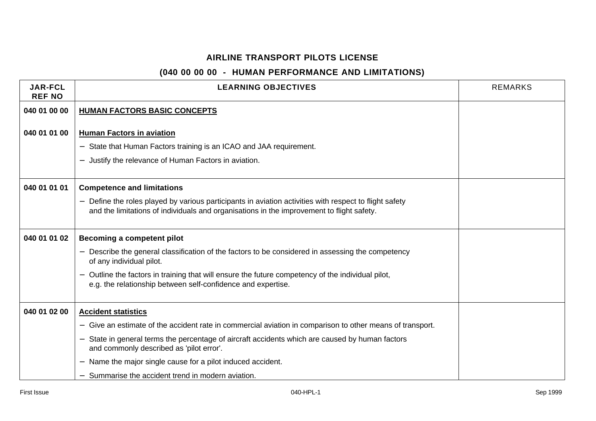| <b>JAR-FCL</b><br><b>REF NO</b> | <b>LEARNING OBJECTIVES</b>                                                                                                                                                                                             | <b>REMARKS</b> |
|---------------------------------|------------------------------------------------------------------------------------------------------------------------------------------------------------------------------------------------------------------------|----------------|
| 040 01 00 00                    | <b>HUMAN FACTORS BASIC CONCEPTS</b>                                                                                                                                                                                    |                |
|                                 |                                                                                                                                                                                                                        |                |
| 040 01 01 00                    | <b>Human Factors in aviation</b>                                                                                                                                                                                       |                |
|                                 | State that Human Factors training is an ICAO and JAA requirement.                                                                                                                                                      |                |
|                                 | Justify the relevance of Human Factors in aviation.<br>—                                                                                                                                                               |                |
|                                 |                                                                                                                                                                                                                        |                |
| 040 01 01 01                    | <b>Competence and limitations</b>                                                                                                                                                                                      |                |
|                                 | Define the roles played by various participants in aviation activities with respect to flight safety<br>$\qquad \qquad -$<br>and the limitations of individuals and organisations in the improvement to flight safety. |                |
| 040 01 01 02                    | Becoming a competent pilot                                                                                                                                                                                             |                |
|                                 | Describe the general classification of the factors to be considered in assessing the competency<br>of any individual pilot.                                                                                            |                |
|                                 | Outline the factors in training that will ensure the future competency of the individual pilot,<br>e.g. the relationship between self-confidence and expertise.                                                        |                |
| 040 01 02 00                    | <b>Accident statistics</b>                                                                                                                                                                                             |                |
|                                 | Give an estimate of the accident rate in commercial aviation in comparison to other means of transport.<br>$\qquad \qquad -$                                                                                           |                |
|                                 | State in general terms the percentage of aircraft accidents which are caused by human factors<br>and commonly described as 'pilot error'.                                                                              |                |
|                                 | Name the major single cause for a pilot induced accident.                                                                                                                                                              |                |
|                                 | Summarise the accident trend in modern aviation.                                                                                                                                                                       |                |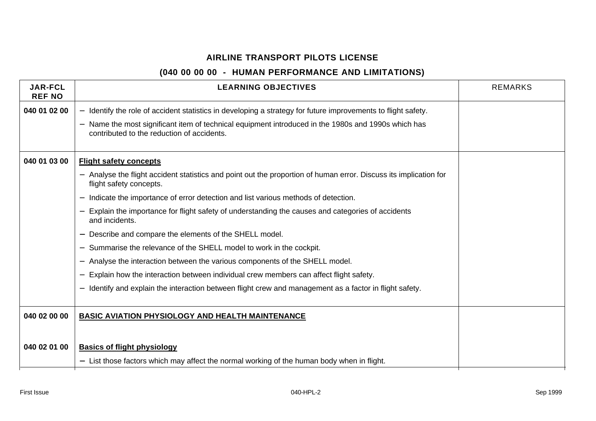| <b>JAR-FCL</b><br><b>REF NO</b> | <b>LEARNING OBJECTIVES</b>                                                                                                                                                  | <b>REMARKS</b> |
|---------------------------------|-----------------------------------------------------------------------------------------------------------------------------------------------------------------------------|----------------|
| 040 01 02 00                    | Identify the role of accident statistics in developing a strategy for future improvements to flight safety.                                                                 |                |
|                                 | Name the most significant item of technical equipment introduced in the 1980s and 1990s which has<br>$\overline{\phantom{0}}$<br>contributed to the reduction of accidents. |                |
| 040 01 03 00                    | <b>Flight safety concepts</b>                                                                                                                                               |                |
|                                 | Analyse the flight accident statistics and point out the proportion of human error. Discuss its implication for<br>flight safety concepts.                                  |                |
|                                 | Indicate the importance of error detection and list various methods of detection.<br>$\overline{\phantom{m}}$                                                               |                |
|                                 | Explain the importance for flight safety of understanding the causes and categories of accidents<br>and incidents.                                                          |                |
|                                 | Describe and compare the elements of the SHELL model.                                                                                                                       |                |
|                                 | Summarise the relevance of the SHELL model to work in the cockpit.<br>$\overline{\phantom{m}}$                                                                              |                |
|                                 | Analyse the interaction between the various components of the SHELL model.<br>$\qquad \qquad -$                                                                             |                |
|                                 | Explain how the interaction between individual crew members can affect flight safety.<br>$\overline{\phantom{0}}$                                                           |                |
|                                 | Identify and explain the interaction between flight crew and management as a factor in flight safety.                                                                       |                |
| 040 02 00 00                    | <b>BASIC AVIATION PHYSIOLOGY AND HEALTH MAINTENANCE</b>                                                                                                                     |                |
|                                 |                                                                                                                                                                             |                |
| 040 02 01 00                    | <b>Basics of flight physiology</b>                                                                                                                                          |                |
|                                 | - List those factors which may affect the normal working of the human body when in flight.                                                                                  |                |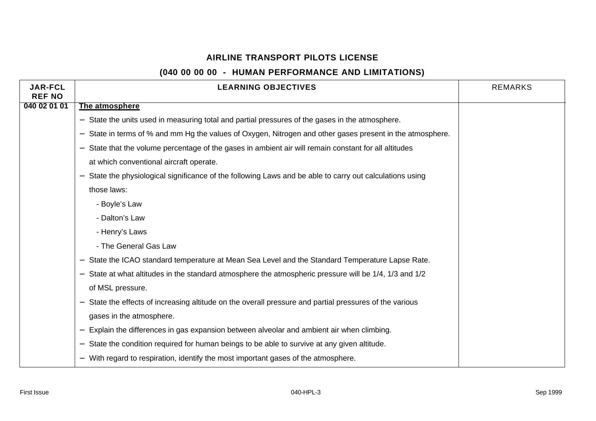| <b>JAR-FCL</b><br><b>REF NO</b> | <b>LEARNING OBJECTIVES</b>                                                                                         | <b>REMARKS</b> |
|---------------------------------|--------------------------------------------------------------------------------------------------------------------|----------------|
| 040 02 01 01                    | The atmosphere                                                                                                     |                |
|                                 | State the units used in measuring total and partial pressures of the gases in the atmosphere.<br>$\qquad \qquad -$ |                |
|                                 | State in terms of % and mm Hg the values of Oxygen, Nitrogen and other gases present in the atmosphere.            |                |
|                                 | State that the volume percentage of the gases in ambient air will remain constant for all altitudes                |                |
|                                 | at which conventional aircraft operate.                                                                            |                |
|                                 | State the physiological significance of the following Laws and be able to carry out calculations using             |                |
|                                 | those laws:                                                                                                        |                |
|                                 | - Boyle's Law                                                                                                      |                |
|                                 | - Dalton's Law                                                                                                     |                |
|                                 | - Henry's Laws                                                                                                     |                |
|                                 | - The General Gas Law                                                                                              |                |
|                                 | State the ICAO standard temperature at Mean Sea Level and the Standard Temperature Lapse Rate.                     |                |
|                                 | State at what altitudes in the standard atmosphere the atmospheric pressure will be 1/4, 1/3 and 1/2               |                |
|                                 | of MSL pressure.                                                                                                   |                |
|                                 | State the effects of increasing altitude on the overall pressure and partial pressures of the various              |                |
|                                 | gases in the atmosphere.                                                                                           |                |
|                                 | Explain the differences in gas expansion between alveolar and ambient air when climbing.                           |                |
|                                 | State the condition required for human beings to be able to survive at any given altitude.                         |                |
|                                 | With regard to respiration, identify the most important gases of the atmosphere.                                   |                |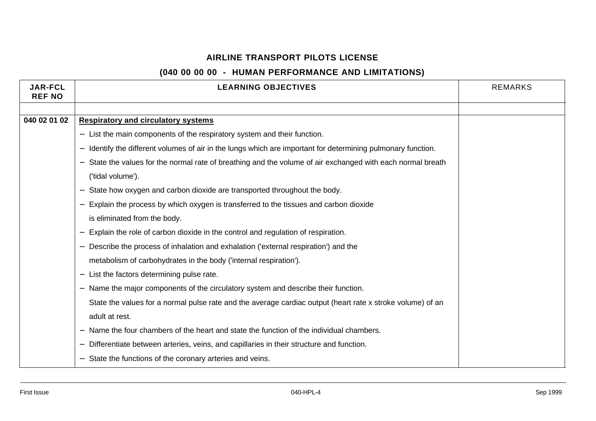| <b>JAR-FCL</b><br><b>REF NO</b> | <b>LEARNING OBJECTIVES</b>                                                                                 | <b>REMARKS</b> |
|---------------------------------|------------------------------------------------------------------------------------------------------------|----------------|
|                                 |                                                                                                            |                |
| 040 02 01 02                    | <b>Respiratory and circulatory systems</b>                                                                 |                |
|                                 | - List the main components of the respiratory system and their function.                                   |                |
|                                 | Identify the different volumes of air in the lungs which are important for determining pulmonary function. |                |
|                                 | State the values for the normal rate of breathing and the volume of air exchanged with each normal breath  |                |
|                                 | ('tidal volume').                                                                                          |                |
|                                 | State how oxygen and carbon dioxide are transported throughout the body.                                   |                |
|                                 | Explain the process by which oxygen is transferred to the tissues and carbon dioxide                       |                |
|                                 | is eliminated from the body.                                                                               |                |
|                                 | Explain the role of carbon dioxide in the control and regulation of respiration.                           |                |
|                                 | Describe the process of inhalation and exhalation ('external respiration') and the                         |                |
|                                 | metabolism of carbohydrates in the body ('internal respiration').                                          |                |
|                                 | List the factors determining pulse rate.                                                                   |                |
|                                 | Name the major components of the circulatory system and describe their function.                           |                |
|                                 | State the values for a normal pulse rate and the average cardiac output (heart rate x stroke volume) of an |                |
|                                 | adult at rest.                                                                                             |                |
|                                 | Name the four chambers of the heart and state the function of the individual chambers.                     |                |
|                                 | Differentiate between arteries, veins, and capillaries in their structure and function.                    |                |
|                                 | State the functions of the coronary arteries and veins.                                                    |                |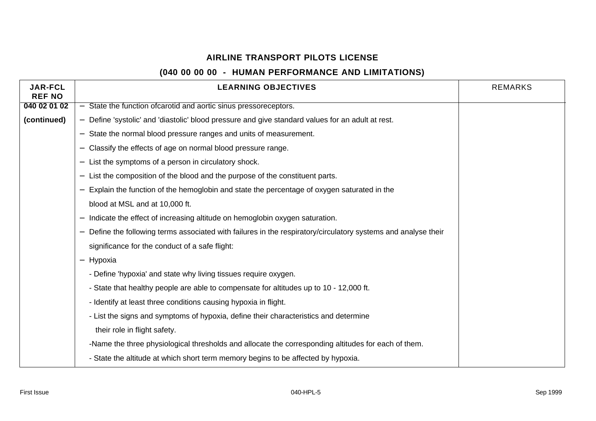| <b>JAR-FCL</b><br><b>REF NO</b> | <b>LEARNING OBJECTIVES</b>                                                                                   | <b>REMARKS</b> |
|---------------------------------|--------------------------------------------------------------------------------------------------------------|----------------|
| 040 02 01 02                    | State the function of carotid and aortic sinus pressoreceptors.<br>$-$                                       |                |
| (continued)                     | Define 'systolic' and 'diastolic' blood pressure and give standard values for an adult at rest.              |                |
|                                 | State the normal blood pressure ranges and units of measurement.<br>$\overline{\phantom{m}}$                 |                |
|                                 | Classify the effects of age on normal blood pressure range.                                                  |                |
|                                 | List the symptoms of a person in circulatory shock.                                                          |                |
|                                 | List the composition of the blood and the purpose of the constituent parts.                                  |                |
|                                 | Explain the function of the hemoglobin and state the percentage of oxygen saturated in the                   |                |
|                                 | blood at MSL and at 10,000 ft.                                                                               |                |
|                                 | Indicate the effect of increasing altitude on hemoglobin oxygen saturation.                                  |                |
|                                 | Define the following terms associated with failures in the respiratory/circulatory systems and analyse their |                |
|                                 | significance for the conduct of a safe flight:                                                               |                |
|                                 | Hypoxia<br>$\qquad \qquad -$                                                                                 |                |
|                                 | - Define 'hypoxia' and state why living tissues require oxygen.                                              |                |
|                                 | - State that healthy people are able to compensate for altitudes up to 10 - 12,000 ft.                       |                |
|                                 | - Identify at least three conditions causing hypoxia in flight.                                              |                |
|                                 | - List the signs and symptoms of hypoxia, define their characteristics and determine                         |                |
|                                 | their role in flight safety.                                                                                 |                |
|                                 | -Name the three physiological thresholds and allocate the corresponding altitudes for each of them.          |                |
|                                 | - State the altitude at which short term memory begins to be affected by hypoxia.                            |                |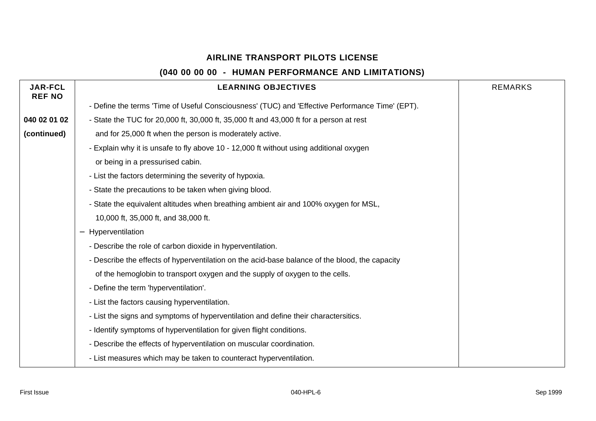| <b>JAR-FCL</b><br><b>REF NO</b> | <b>LEARNING OBJECTIVES</b>                                                                      | <b>REMARKS</b> |
|---------------------------------|-------------------------------------------------------------------------------------------------|----------------|
|                                 | - Define the terms 'Time of Useful Consciousness' (TUC) and 'Effective Performance Time' (EPT). |                |
| 040 02 01 02                    | - State the TUC for 20,000 ft, 30,000 ft, 35,000 ft and 43,000 ft for a person at rest          |                |
| (continued)                     | and for 25,000 ft when the person is moderately active.                                         |                |
|                                 | - Explain why it is unsafe to fly above 10 - 12,000 ft without using additional oxygen          |                |
|                                 | or being in a pressurised cabin.                                                                |                |
|                                 | - List the factors determining the severity of hypoxia.                                         |                |
|                                 | - State the precautions to be taken when giving blood.                                          |                |
|                                 | - State the equivalent altitudes when breathing ambient air and 100% oxygen for MSL,            |                |
|                                 | 10,000 ft, 35,000 ft, and 38,000 ft.                                                            |                |
|                                 | - Hyperventilation                                                                              |                |
|                                 | - Describe the role of carbon dioxide in hyperventilation.                                      |                |
|                                 | - Describe the effects of hyperventilation on the acid-base balance of the blood, the capacity  |                |
|                                 | of the hemoglobin to transport oxygen and the supply of oxygen to the cells.                    |                |
|                                 | - Define the term 'hyperventilation'.                                                           |                |
|                                 | - List the factors causing hyperventilation.                                                    |                |
|                                 | - List the signs and symptoms of hyperventilation and define their charactersitics.             |                |
|                                 | - Identify symptoms of hyperventilation for given flight conditions.                            |                |
|                                 | - Describe the effects of hyperventilation on muscular coordination.                            |                |
|                                 | - List measures which may be taken to counteract hyperventilation.                              |                |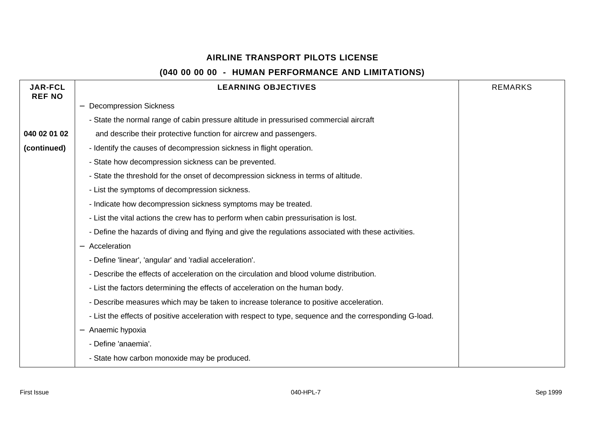| <b>JAR-FCL</b><br><b>REF NO</b> | <b>LEARNING OBJECTIVES</b>                                                                               | <b>REMARKS</b> |
|---------------------------------|----------------------------------------------------------------------------------------------------------|----------------|
|                                 | <b>Decompression Sickness</b>                                                                            |                |
|                                 | - State the normal range of cabin pressure altitude in pressurised commercial aircraft                   |                |
| 040 02 01 02                    | and describe their protective function for aircrew and passengers.                                       |                |
| (continued)                     | - Identify the causes of decompression sickness in flight operation.                                     |                |
|                                 | - State how decompression sickness can be prevented.                                                     |                |
|                                 | - State the threshold for the onset of decompression sickness in terms of altitude.                      |                |
|                                 | - List the symptoms of decompression sickness.                                                           |                |
|                                 | - Indicate how decompression sickness symptoms may be treated.                                           |                |
|                                 | - List the vital actions the crew has to perform when cabin pressurisation is lost.                      |                |
|                                 | - Define the hazards of diving and flying and give the regulations associated with these activities.     |                |
|                                 | Acceleration                                                                                             |                |
|                                 | - Define 'linear', 'angular' and 'radial acceleration'.                                                  |                |
|                                 | - Describe the effects of acceleration on the circulation and blood volume distribution.                 |                |
|                                 | - List the factors determining the effects of acceleration on the human body.                            |                |
|                                 | - Describe measures which may be taken to increase tolerance to positive acceleration.                   |                |
|                                 | - List the effects of positive acceleration with respect to type, sequence and the corresponding G-load. |                |
|                                 | Anaemic hypoxia                                                                                          |                |
|                                 | - Define 'anaemia'.                                                                                      |                |
|                                 | - State how carbon monoxide may be produced.                                                             |                |
|                                 |                                                                                                          |                |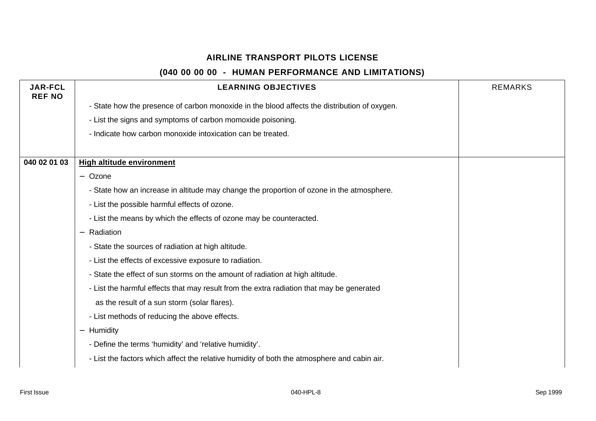| <b>JAR-FCL</b><br><b>REF NO</b> | <b>LEARNING OBJECTIVES</b>                                                                   | <b>REMARKS</b> |
|---------------------------------|----------------------------------------------------------------------------------------------|----------------|
|                                 | - State how the presence of carbon monoxide in the blood affects the distribution of oxygen. |                |
|                                 | - List the signs and symptoms of carbon momoxide poisoning.                                  |                |
|                                 | - Indicate how carbon monoxide intoxication can be treated.                                  |                |
|                                 |                                                                                              |                |
| 040 02 01 03                    | <b>High altitude environment</b>                                                             |                |
|                                 | - Ozone                                                                                      |                |
|                                 | - State how an increase in altitude may change the proportion of ozone in the atmosphere.    |                |
|                                 | - List the possible harmful effects of ozone.                                                |                |
|                                 | - List the means by which the effects of ozone may be counteracted.                          |                |
|                                 | Radiation                                                                                    |                |
|                                 | - State the sources of radiation at high altitude.                                           |                |
|                                 | - List the effects of excessive exposure to radiation.                                       |                |
|                                 | - State the effect of sun storms on the amount of radiation at high altitude.                |                |
|                                 | - List the harmful effects that may result from the extra radiation that may be generated    |                |
|                                 | as the result of a sun storm (solar flares).                                                 |                |
|                                 | - List methods of reducing the above effects.                                                |                |
|                                 | Humidity<br>$\qquad \qquad -$                                                                |                |
|                                 | - Define the terms 'humidity' and 'relative humidity'.                                       |                |
|                                 | - List the factors which affect the relative humidity of both the atmosphere and cabin air.  |                |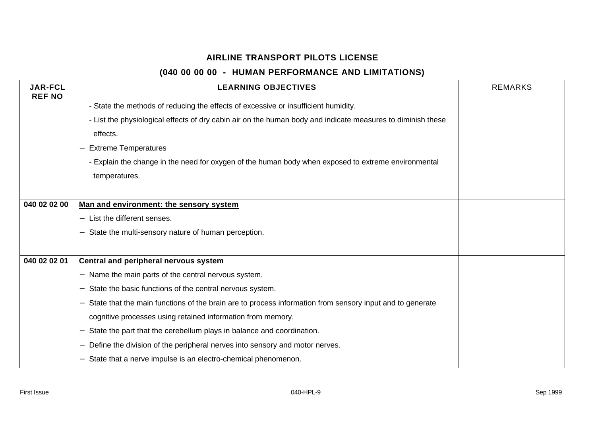| <b>JAR-FCL</b><br><b>REF NO</b> | <b>LEARNING OBJECTIVES</b>                                                                                                           | <b>REMARKS</b> |
|---------------------------------|--------------------------------------------------------------------------------------------------------------------------------------|----------------|
|                                 | - State the methods of reducing the effects of excessive or insufficient humidity.                                                   |                |
|                                 | - List the physiological effects of dry cabin air on the human body and indicate measures to diminish these                          |                |
|                                 | effects.                                                                                                                             |                |
|                                 | <b>Extreme Temperatures</b>                                                                                                          |                |
|                                 | - Explain the change in the need for oxygen of the human body when exposed to extreme environmental                                  |                |
|                                 | temperatures.                                                                                                                        |                |
|                                 |                                                                                                                                      |                |
| 040 02 02 00                    | Man and environment: the sensory system                                                                                              |                |
|                                 | List the different senses.                                                                                                           |                |
|                                 | State the multi-sensory nature of human perception.                                                                                  |                |
|                                 |                                                                                                                                      |                |
| 040 02 02 01                    | Central and peripheral nervous system                                                                                                |                |
|                                 | - Name the main parts of the central nervous system.                                                                                 |                |
|                                 | State the basic functions of the central nervous system.                                                                             |                |
|                                 | State that the main functions of the brain are to process information from sensory input and to generate<br>$\overline{\phantom{m}}$ |                |
|                                 | cognitive processes using retained information from memory.                                                                          |                |
|                                 | State the part that the cerebellum plays in balance and coordination.                                                                |                |
|                                 | Define the division of the peripheral nerves into sensory and motor nerves.                                                          |                |
|                                 | State that a nerve impulse is an electro-chemical phenomenon.                                                                        |                |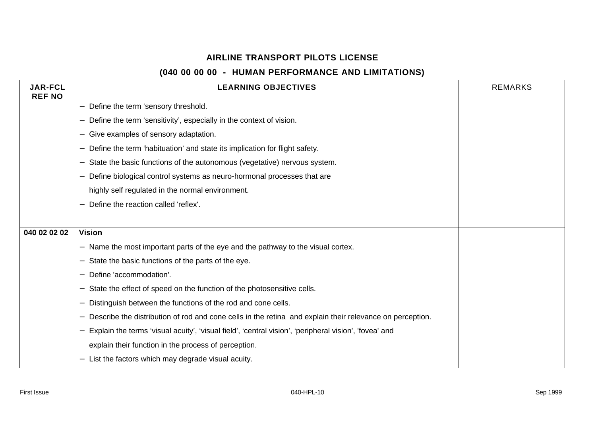| <b>JAR-FCL</b><br><b>REF NO</b> | <b>LEARNING OBJECTIVES</b>                                                                               | <b>REMARKS</b> |
|---------------------------------|----------------------------------------------------------------------------------------------------------|----------------|
|                                 | Define the term 'sensory threshold.<br>$\overline{\phantom{0}}$                                          |                |
|                                 | Define the term 'sensitivity', especially in the context of vision.                                      |                |
|                                 | Give examples of sensory adaptation.                                                                     |                |
|                                 | Define the term 'habituation' and state its implication for flight safety.                               |                |
|                                 | State the basic functions of the autonomous (vegetative) nervous system.                                 |                |
|                                 | Define biological control systems as neuro-hormonal processes that are                                   |                |
|                                 | highly self regulated in the normal environment.                                                         |                |
|                                 | Define the reaction called 'reflex'.                                                                     |                |
|                                 |                                                                                                          |                |
| 040 02 02 02                    | <b>Vision</b>                                                                                            |                |
|                                 | Name the most important parts of the eye and the pathway to the visual cortex.                           |                |
|                                 | State the basic functions of the parts of the eye.                                                       |                |
|                                 | Define 'accommodation'.                                                                                  |                |
|                                 | State the effect of speed on the function of the photosensitive cells.                                   |                |
|                                 | Distinguish between the functions of the rod and cone cells.                                             |                |
|                                 | Describe the distribution of rod and cone cells in the retina and explain their relevance on perception. |                |
|                                 | Explain the terms 'visual acuity', 'visual field', 'central vision', 'peripheral vision', 'fovea' and    |                |
|                                 | explain their function in the process of perception.                                                     |                |
|                                 | List the factors which may degrade visual acuity.                                                        |                |
|                                 |                                                                                                          |                |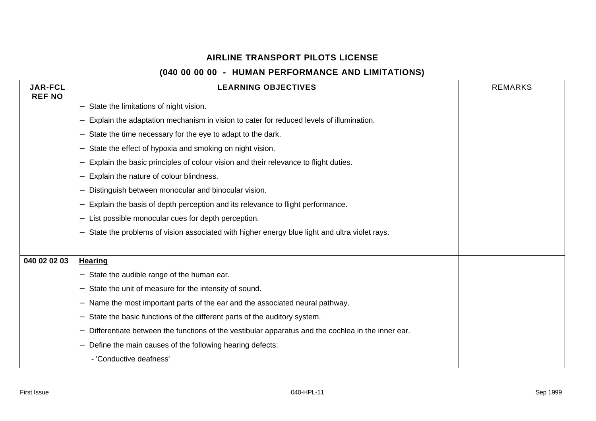| <b>JAR-FCL</b><br><b>REF NO</b> | <b>LEARNING OBJECTIVES</b>                                                                                             | <b>REMARKS</b> |
|---------------------------------|------------------------------------------------------------------------------------------------------------------------|----------------|
|                                 | State the limitations of night vision.<br>$\qquad \qquad -$                                                            |                |
|                                 | Explain the adaptation mechanism in vision to cater for reduced levels of illumination.                                |                |
|                                 | State the time necessary for the eye to adapt to the dark.                                                             |                |
|                                 | State the effect of hypoxia and smoking on night vision.                                                               |                |
|                                 | Explain the basic principles of colour vision and their relevance to flight duties.                                    |                |
|                                 | Explain the nature of colour blindness.<br>$\qquad \qquad -$                                                           |                |
|                                 | Distinguish between monocular and binocular vision.                                                                    |                |
|                                 | Explain the basis of depth perception and its relevance to flight performance.<br>$\qquad \qquad$                      |                |
|                                 | List possible monocular cues for depth perception.<br>—                                                                |                |
|                                 | State the problems of vision associated with higher energy blue light and ultra violet rays.                           |                |
|                                 |                                                                                                                        |                |
| 040 02 02 03                    | <b>Hearing</b>                                                                                                         |                |
|                                 | State the audible range of the human ear.                                                                              |                |
|                                 | State the unit of measure for the intensity of sound.                                                                  |                |
|                                 | Name the most important parts of the ear and the associated neural pathway.<br>—                                       |                |
|                                 | State the basic functions of the different parts of the auditory system.<br>$\qquad \qquad -$                          |                |
|                                 | Differentiate between the functions of the vestibular apparatus and the cochlea in the inner ear.<br>$\qquad \qquad -$ |                |
|                                 | Define the main causes of the following hearing defects:                                                               |                |
|                                 | - 'Conductive deafness'                                                                                                |                |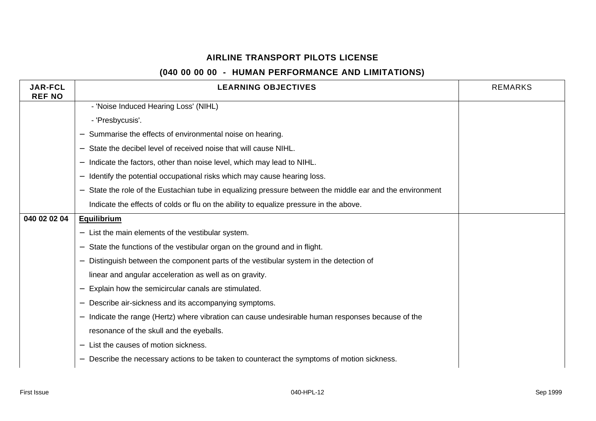| <b>JAR-FCL</b><br><b>REF NO</b> | <b>LEARNING OBJECTIVES</b>                                                                              | <b>REMARKS</b> |
|---------------------------------|---------------------------------------------------------------------------------------------------------|----------------|
|                                 | - 'Noise Induced Hearing Loss' (NIHL)                                                                   |                |
|                                 | - 'Presbycusis'.                                                                                        |                |
|                                 | Summarise the effects of environmental noise on hearing.                                                |                |
|                                 | State the decibel level of received noise that will cause NIHL.                                         |                |
|                                 | Indicate the factors, other than noise level, which may lead to NIHL.                                   |                |
|                                 | Identify the potential occupational risks which may cause hearing loss.                                 |                |
|                                 | State the role of the Eustachian tube in equalizing pressure between the middle ear and the environment |                |
|                                 | Indicate the effects of colds or flu on the ability to equalize pressure in the above.                  |                |
| 040 02 02 04                    | <b>Equilibrium</b>                                                                                      |                |
|                                 | List the main elements of the vestibular system.                                                        |                |
|                                 | State the functions of the vestibular organ on the ground and in flight.                                |                |
|                                 | Distinguish between the component parts of the vestibular system in the detection of                    |                |
|                                 | linear and angular acceleration as well as on gravity.                                                  |                |
|                                 | Explain how the semicircular canals are stimulated.                                                     |                |
|                                 | Describe air-sickness and its accompanying symptoms.                                                    |                |
|                                 | Indicate the range (Hertz) where vibration can cause undesirable human responses because of the         |                |
|                                 | resonance of the skull and the eyeballs.                                                                |                |
|                                 | List the causes of motion sickness.                                                                     |                |
|                                 | Describe the necessary actions to be taken to counteract the symptoms of motion sickness.               |                |
|                                 |                                                                                                         |                |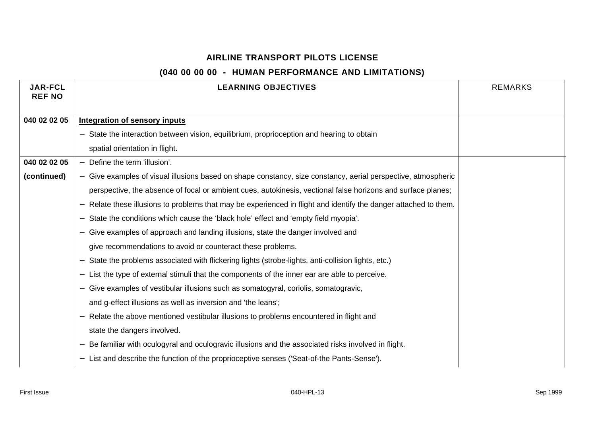| <b>JAR-FCL</b> | <b>LEARNING OBJECTIVES</b>                                                                                     | <b>REMARKS</b> |
|----------------|----------------------------------------------------------------------------------------------------------------|----------------|
| <b>REF NO</b>  |                                                                                                                |                |
| 040 02 02 05   | <b>Integration of sensory inputs</b>                                                                           |                |
|                | State the interaction between vision, equilibrium, proprioception and hearing to obtain                        |                |
|                | spatial orientation in flight.                                                                                 |                |
| 040 02 02 05   | Define the term 'illusion'.<br>$\overline{\phantom{0}}$                                                        |                |
| (continued)    | - Give examples of visual illusions based on shape constancy, size constancy, aerial perspective, atmospheric  |                |
|                | perspective, the absence of focal or ambient cues, autokinesis, vectional false horizons and surface planes;   |                |
|                | Relate these illusions to problems that may be experienced in flight and identify the danger attached to them. |                |
|                | State the conditions which cause the 'black hole' effect and 'empty field myopia'.                             |                |
|                | Give examples of approach and landing illusions, state the danger involved and                                 |                |
|                | give recommendations to avoid or counteract these problems.                                                    |                |
|                | State the problems associated with flickering lights (strobe-lights, anti-collision lights, etc.)              |                |
|                | List the type of external stimuli that the components of the inner ear are able to perceive.<br>—              |                |
|                | Give examples of vestibular illusions such as somatogyral, coriolis, somatogravic,<br>—                        |                |
|                | and g-effect illusions as well as inversion and 'the leans';                                                   |                |
|                | Relate the above mentioned vestibular illusions to problems encountered in flight and                          |                |
|                | state the dangers involved.                                                                                    |                |
|                | Be familiar with oculogyral and oculogravic illusions and the associated risks involved in flight.             |                |
|                | List and describe the function of the proprioceptive senses ('Seat-of-the Pants-Sense').<br>$\qquad \qquad -$  |                |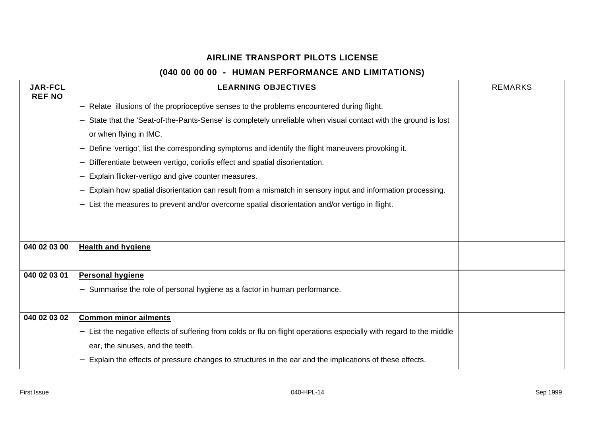| <b>JAR-FCL</b><br><b>REF NO</b> | <b>LEARNING OBJECTIVES</b>                                                                                           | <b>REMARKS</b> |
|---------------------------------|----------------------------------------------------------------------------------------------------------------------|----------------|
|                                 | Relate illusions of the proprioceptive senses to the problems encountered during flight.<br>$\overline{\phantom{m}}$ |                |
|                                 | State that the 'Seat-of-the-Pants-Sense' is completely unreliable when visual contact with the ground is lost        |                |
|                                 | or when flying in IMC.                                                                                               |                |
|                                 | Define 'vertigo', list the corresponding symptoms and identify the flight maneuvers provoking it.                    |                |
|                                 | Differentiate between vertigo, coriolis effect and spatial disorientation.                                           |                |
|                                 | Explain flicker-vertigo and give counter measures.                                                                   |                |
|                                 | Explain how spatial disorientation can result from a mismatch in sensory input and information processing.           |                |
|                                 | List the measures to prevent and/or overcome spatial disorientation and/or vertigo in flight.                        |                |
|                                 |                                                                                                                      |                |
|                                 |                                                                                                                      |                |
| 040 02 03 00                    | <b>Health and hygiene</b>                                                                                            |                |
|                                 |                                                                                                                      |                |
| 040 02 03 01                    | <b>Personal hygiene</b>                                                                                              |                |
|                                 | Summarise the role of personal hygiene as a factor in human performance.                                             |                |
|                                 |                                                                                                                      |                |
| 040 02 03 02                    | <b>Common minor ailments</b>                                                                                         |                |
|                                 | List the negative effects of suffering from colds or flu on flight operations especially with regard to the middle   |                |
|                                 | ear, the sinuses, and the teeth.                                                                                     |                |
|                                 | Explain the effects of pressure changes to structures in the ear and the implications of these effects.              |                |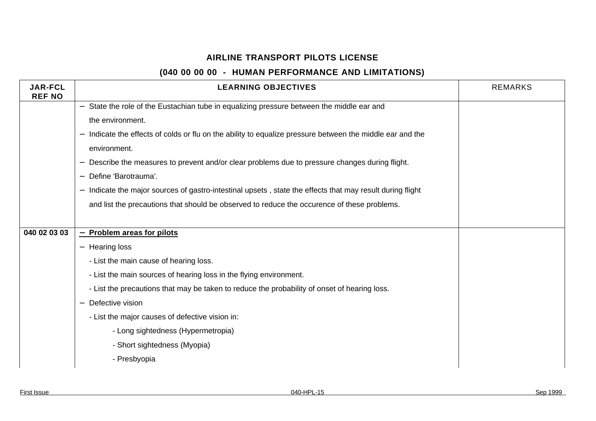| <b>JAR-FCL</b><br><b>REF NO</b> | <b>LEARNING OBJECTIVES</b>                                                                                                   | <b>REMARKS</b> |
|---------------------------------|------------------------------------------------------------------------------------------------------------------------------|----------------|
|                                 | State the role of the Eustachian tube in equalizing pressure between the middle ear and<br>$\overline{\phantom{0}}$          |                |
|                                 | the environment.                                                                                                             |                |
|                                 | Indicate the effects of colds or flu on the ability to equalize pressure between the middle ear and the<br>$\qquad \qquad -$ |                |
|                                 | environment.                                                                                                                 |                |
|                                 | Describe the measures to prevent and/or clear problems due to pressure changes during flight.                                |                |
|                                 | Define 'Barotrauma'.<br>$\qquad \qquad -$                                                                                    |                |
|                                 | Indicate the major sources of gastro-intestinal upsets, state the effects that may result during flight                      |                |
|                                 | and list the precautions that should be observed to reduce the occurence of these problems.                                  |                |
|                                 |                                                                                                                              |                |
| 040 02 03 03                    | - Problem areas for pilots                                                                                                   |                |
|                                 | <b>Hearing loss</b><br>$\overline{\phantom{0}}$                                                                              |                |
|                                 | - List the main cause of hearing loss.                                                                                       |                |
|                                 | - List the main sources of hearing loss in the flying environment.                                                           |                |
|                                 | - List the precautions that may be taken to reduce the probability of onset of hearing loss.                                 |                |
|                                 | Defective vision                                                                                                             |                |
|                                 | - List the major causes of defective vision in:                                                                              |                |
|                                 | - Long sightedness (Hypermetropia)                                                                                           |                |
|                                 | - Short sightedness (Myopia)                                                                                                 |                |
|                                 | - Presbyopia                                                                                                                 |                |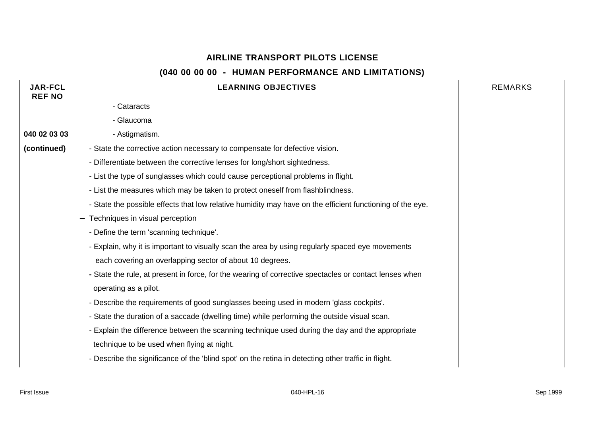| <b>JAR-FCL</b><br><b>REF NO</b> | <b>LEARNING OBJECTIVES</b>                                                                                | <b>REMARKS</b> |
|---------------------------------|-----------------------------------------------------------------------------------------------------------|----------------|
|                                 | - Cataracts                                                                                               |                |
|                                 | - Glaucoma                                                                                                |                |
| 040 02 03 03                    | - Astigmatism.                                                                                            |                |
| (continued)                     | - State the corrective action necessary to compensate for defective vision.                               |                |
|                                 | - Differentiate between the corrective lenses for long/short sightedness.                                 |                |
|                                 | - List the type of sunglasses which could cause perceptional problems in flight.                          |                |
|                                 | - List the measures which may be taken to protect oneself from flashblindness.                            |                |
|                                 | - State the possible effects that low relative humidity may have on the efficient functioning of the eye. |                |
|                                 | Techniques in visual perception<br>$\overline{\phantom{m}}$                                               |                |
|                                 | - Define the term 'scanning technique'.                                                                   |                |
|                                 | - Explain, why it is important to visually scan the area by using regularly spaced eye movements          |                |
|                                 | each covering an overlapping sector of about 10 degrees.                                                  |                |
|                                 | - State the rule, at present in force, for the wearing of corrective spectacles or contact lenses when    |                |
|                                 | operating as a pilot.                                                                                     |                |
|                                 | - Describe the requirements of good sunglasses beeing used in modern 'glass cockpits'.                    |                |
|                                 | - State the duration of a saccade (dwelling time) while performing the outside visual scan.               |                |
|                                 | - Explain the difference between the scanning technique used during the day and the appropriate           |                |
|                                 | technique to be used when flying at night.                                                                |                |
|                                 | - Describe the significance of the 'blind spot' on the retina in detecting other traffic in flight.       |                |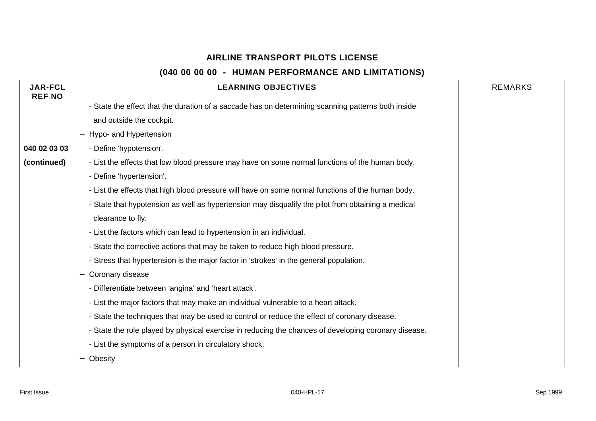| <b>JAR-FCL</b><br><b>REF NO</b> | <b>LEARNING OBJECTIVES</b>                                                                           | <b>REMARKS</b> |
|---------------------------------|------------------------------------------------------------------------------------------------------|----------------|
|                                 | - State the effect that the duration of a saccade has on determining scanning patterns both inside   |                |
|                                 | and outside the cockpit.                                                                             |                |
|                                 | Hypo- and Hypertension                                                                               |                |
| 040 02 03 03                    | - Define 'hypotension'.                                                                              |                |
| (continued)                     | - List the effects that low blood pressure may have on some normal functions of the human body.      |                |
|                                 | - Define 'hypertension'.                                                                             |                |
|                                 | - List the effects that high blood pressure will have on some normal functions of the human body.    |                |
|                                 | - State that hypotension as well as hypertension may disqualify the pilot from obtaining a medical   |                |
|                                 | clearance to fly.                                                                                    |                |
|                                 | - List the factors which can lead to hypertension in an individual.                                  |                |
|                                 | - State the corrective actions that may be taken to reduce high blood pressure.                      |                |
|                                 | - Stress that hypertension is the major factor in 'strokes' in the general population.               |                |
|                                 | Coronary disease<br>$\qquad \qquad -$                                                                |                |
|                                 | - Differentiate between 'angina' and 'heart attack'.                                                 |                |
|                                 | - List the major factors that may make an individual vulnerable to a heart attack.                   |                |
|                                 | - State the techniques that may be used to control or reduce the effect of coronary disease.         |                |
|                                 | - State the role played by physical exercise in reducing the chances of developing coronary disease. |                |
|                                 | - List the symptoms of a person in circulatory shock.                                                |                |
|                                 | Obesity                                                                                              |                |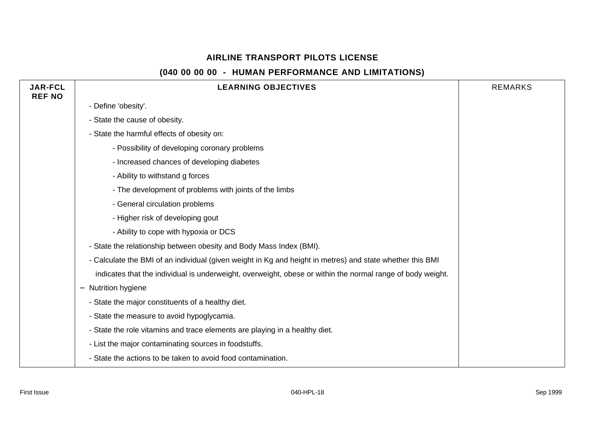| <b>JAR-FCL</b><br><b>REF NO</b> | <b>LEARNING OBJECTIVES</b>                                                                                 | <b>REMARKS</b> |
|---------------------------------|------------------------------------------------------------------------------------------------------------|----------------|
|                                 | - Define 'obesity'.                                                                                        |                |
|                                 | - State the cause of obesity.                                                                              |                |
|                                 | - State the harmful effects of obesity on:                                                                 |                |
|                                 | - Possibility of developing coronary problems                                                              |                |
|                                 | - Increased chances of developing diabetes                                                                 |                |
|                                 | - Ability to withstand g forces                                                                            |                |
|                                 | - The development of problems with joints of the limbs                                                     |                |
|                                 | - General circulation problems                                                                             |                |
|                                 | - Higher risk of developing gout                                                                           |                |
|                                 | - Ability to cope with hypoxia or DCS                                                                      |                |
|                                 | - State the relationship between obesity and Body Mass Index (BMI).                                        |                |
|                                 | - Calculate the BMI of an individual (given weight in Kg and height in metres) and state whether this BMI  |                |
|                                 | indicates that the individual is underweight, overweight, obese or within the normal range of body weight. |                |
|                                 | Nutrition hygiene<br>$\overline{\phantom{m}}$                                                              |                |
|                                 | - State the major constituents of a healthy diet.                                                          |                |
|                                 | - State the measure to avoid hypoglycamia.                                                                 |                |
|                                 | - State the role vitamins and trace elements are playing in a healthy diet.                                |                |
|                                 | - List the major contaminating sources in foodstuffs.                                                      |                |
|                                 | - State the actions to be taken to avoid food contamination.                                               |                |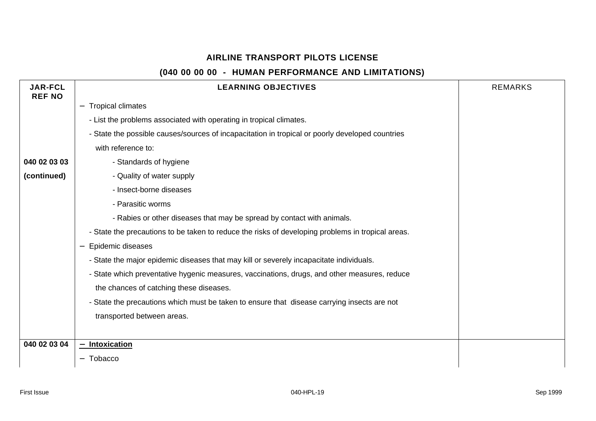| <b>JAR-FCL</b><br><b>REF NO</b> | <b>LEARNING OBJECTIVES</b>                                                                        | <b>REMARKS</b> |
|---------------------------------|---------------------------------------------------------------------------------------------------|----------------|
|                                 | <b>Tropical climates</b>                                                                          |                |
|                                 | - List the problems associated with operating in tropical climates.                               |                |
|                                 | - State the possible causes/sources of incapacitation in tropical or poorly developed countries   |                |
|                                 | with reference to:                                                                                |                |
| 040 02 03 03                    | - Standards of hygiene                                                                            |                |
| (continued)                     | - Quality of water supply                                                                         |                |
|                                 | - Insect-borne diseases                                                                           |                |
|                                 | - Parasitic worms                                                                                 |                |
|                                 | - Rabies or other diseases that may be spread by contact with animals.                            |                |
|                                 | - State the precautions to be taken to reduce the risks of developing problems in tropical areas. |                |
|                                 | Epidemic diseases<br>—                                                                            |                |
|                                 | - State the major epidemic diseases that may kill or severely incapacitate individuals.           |                |
|                                 | - State which preventative hygenic measures, vaccinations, drugs, and other measures, reduce      |                |
|                                 | the chances of catching these diseases.                                                           |                |
|                                 | - State the precautions which must be taken to ensure that disease carrying insects are not       |                |
|                                 | transported between areas.                                                                        |                |
|                                 |                                                                                                   |                |
| 040 02 03 04                    | <b>Intoxication</b><br>$\overline{\phantom{0}}$                                                   |                |
|                                 | Tobacco                                                                                           |                |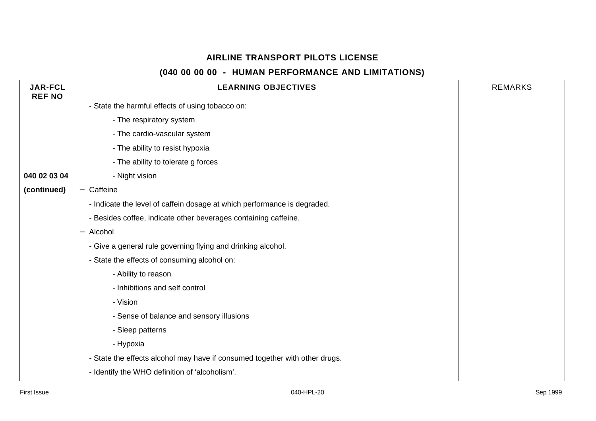| <b>JAR-FCL</b><br><b>REF NO</b> | <b>LEARNING OBJECTIVES</b>                                                  | <b>REMARKS</b> |
|---------------------------------|-----------------------------------------------------------------------------|----------------|
|                                 | - State the harmful effects of using tobacco on:                            |                |
|                                 | - The respiratory system                                                    |                |
|                                 | - The cardio-vascular system                                                |                |
|                                 | - The ability to resist hypoxia                                             |                |
|                                 | - The ability to tolerate g forces                                          |                |
| 040 02 03 04                    | - Night vision                                                              |                |
| (continued)                     | - Caffeine                                                                  |                |
|                                 | - Indicate the level of caffein dosage at which performance is degraded.    |                |
|                                 | - Besides coffee, indicate other beverages containing caffeine.             |                |
|                                 | - Alcohol                                                                   |                |
|                                 | - Give a general rule governing flying and drinking alcohol.                |                |
|                                 | - State the effects of consuming alcohol on:                                |                |
|                                 | - Ability to reason                                                         |                |
|                                 | - Inhibitions and self control                                              |                |
|                                 | - Vision                                                                    |                |
|                                 | - Sense of balance and sensory illusions                                    |                |
|                                 | - Sleep patterns                                                            |                |
|                                 | - Hypoxia                                                                   |                |
|                                 | - State the effects alcohol may have if consumed together with other drugs. |                |
|                                 | - Identify the WHO definition of 'alcoholism'.                              |                |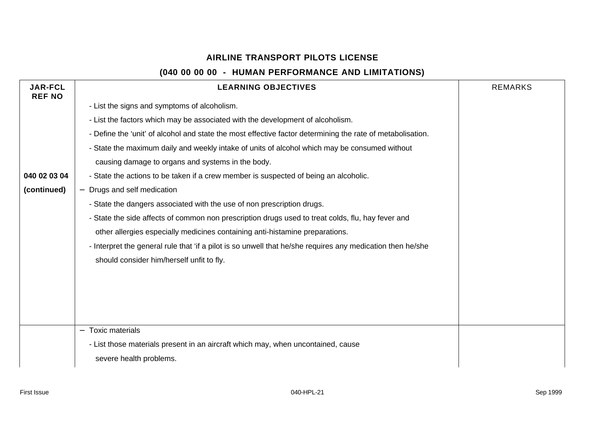| <b>JAR-FCL</b><br><b>REF NO</b> | <b>LEARNING OBJECTIVES</b>                                                                                 | <b>REMARKS</b> |
|---------------------------------|------------------------------------------------------------------------------------------------------------|----------------|
|                                 | - List the signs and symptoms of alcoholism.                                                               |                |
|                                 | - List the factors which may be associated with the development of alcoholism.                             |                |
|                                 | - Define the 'unit' of alcohol and state the most effective factor determining the rate of metabolisation. |                |
|                                 | - State the maximum daily and weekly intake of units of alcohol which may be consumed without              |                |
|                                 | causing damage to organs and systems in the body.                                                          |                |
| 040 02 03 04                    | - State the actions to be taken if a crew member is suspected of being an alcoholic.                       |                |
| (continued)                     | Drugs and self medication                                                                                  |                |
|                                 | - State the dangers associated with the use of non prescription drugs.                                     |                |
|                                 | - State the side affects of common non prescription drugs used to treat colds, flu, hay fever and          |                |
|                                 | other allergies especially medicines containing anti-histamine preparations.                               |                |
|                                 | - Interpret the general rule that 'if a pilot is so unwell that he/she requires any medication then he/she |                |
|                                 | should consider him/herself unfit to fly.                                                                  |                |
|                                 |                                                                                                            |                |
|                                 |                                                                                                            |                |
|                                 |                                                                                                            |                |
|                                 |                                                                                                            |                |
|                                 | <b>Toxic materials</b>                                                                                     |                |
|                                 | - List those materials present in an aircraft which may, when uncontained, cause                           |                |
|                                 | severe health problems.                                                                                    |                |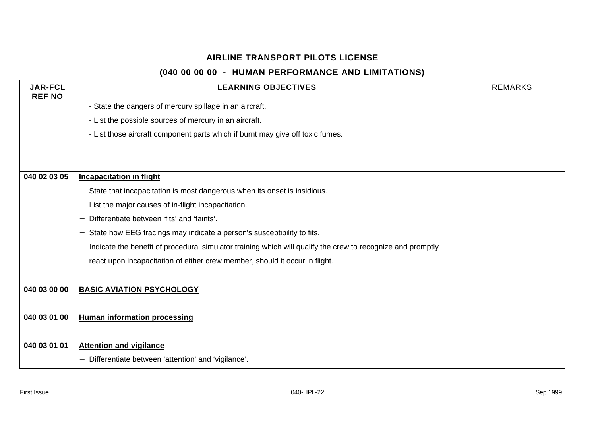| <b>JAR-FCL</b><br><b>REF NO</b> | <b>LEARNING OBJECTIVES</b>                                                                                  | <b>REMARKS</b> |
|---------------------------------|-------------------------------------------------------------------------------------------------------------|----------------|
|                                 | - State the dangers of mercury spillage in an aircraft.                                                     |                |
|                                 | - List the possible sources of mercury in an aircraft.                                                      |                |
|                                 | - List those aircraft component parts which if burnt may give off toxic fumes.                              |                |
|                                 |                                                                                                             |                |
|                                 |                                                                                                             |                |
| 040 02 03 05                    | <b>Incapacitation in flight</b>                                                                             |                |
|                                 | State that incapacitation is most dangerous when its onset is insidious.                                    |                |
|                                 | List the major causes of in-flight incapacitation.                                                          |                |
|                                 | Differentiate between 'fits' and 'faints'.                                                                  |                |
|                                 | State how EEG tracings may indicate a person's susceptibility to fits.                                      |                |
|                                 | Indicate the benefit of procedural simulator training which will qualify the crew to recognize and promptly |                |
|                                 | react upon incapacitation of either crew member, should it occur in flight.                                 |                |
|                                 |                                                                                                             |                |
| 040 03 00 00                    | <b>BASIC AVIATION PSYCHOLOGY</b>                                                                            |                |
|                                 |                                                                                                             |                |
| 040 03 01 00                    | <b>Human information processing</b>                                                                         |                |
|                                 |                                                                                                             |                |
| 040 03 01 01                    | <b>Attention and vigilance</b>                                                                              |                |
|                                 | Differentiate between 'attention' and 'vigilance'.                                                          |                |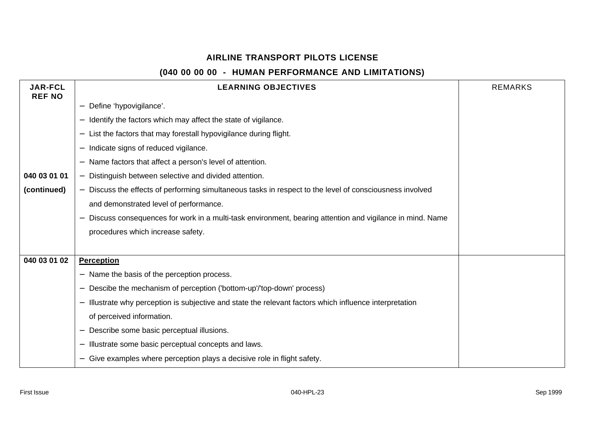| <b>JAR-FCL</b><br><b>REF NO</b> | <b>LEARNING OBJECTIVES</b>                                                                                                         | <b>REMARKS</b> |
|---------------------------------|------------------------------------------------------------------------------------------------------------------------------------|----------------|
|                                 | Define 'hypovigilance'.                                                                                                            |                |
|                                 | Identify the factors which may affect the state of vigilance.                                                                      |                |
|                                 | List the factors that may forestall hypovigilance during flight.                                                                   |                |
|                                 | Indicate signs of reduced vigilance.                                                                                               |                |
|                                 | Name factors that affect a person's level of attention.                                                                            |                |
| 040 03 01 01                    | Distinguish between selective and divided attention.<br>$\qquad \qquad -$                                                          |                |
| (continued)                     | Discuss the effects of performing simultaneous tasks in respect to the level of consciousness involved<br>$\overline{\phantom{0}}$ |                |
|                                 | and demonstrated level of performance.                                                                                             |                |
|                                 | Discuss consequences for work in a multi-task environment, bearing attention and vigilance in mind. Name                           |                |
|                                 | procedures which increase safety.                                                                                                  |                |
|                                 |                                                                                                                                    |                |
| 040 03 01 02                    | <b>Perception</b>                                                                                                                  |                |
|                                 | Name the basis of the perception process.                                                                                          |                |
|                                 | Descibe the mechanism of perception ('bottom-up'/'top-down' process)                                                               |                |
|                                 | Illustrate why perception is subjective and state the relevant factors which influence interpretation                              |                |
|                                 | of perceived information.                                                                                                          |                |
|                                 | Describe some basic perceptual illusions.                                                                                          |                |
|                                 | Illustrate some basic perceptual concepts and laws.                                                                                |                |
|                                 | Give examples where perception plays a decisive role in flight safety.                                                             |                |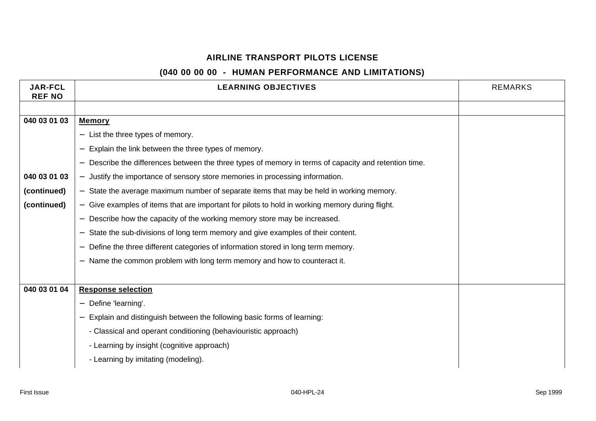| <b>JAR-FCL</b><br><b>REF NO</b> | <b>LEARNING OBJECTIVES</b>                                                                          | <b>REMARKS</b> |
|---------------------------------|-----------------------------------------------------------------------------------------------------|----------------|
|                                 |                                                                                                     |                |
| 040 03 01 03                    | <b>Memory</b>                                                                                       |                |
|                                 | List the three types of memory.                                                                     |                |
|                                 | Explain the link between the three types of memory.                                                 |                |
|                                 | Describe the differences between the three types of memory in terms of capacity and retention time. |                |
| 040 03 01 03                    | Justify the importance of sensory store memories in processing information.                         |                |
| (continued)                     | State the average maximum number of separate items that may be held in working memory.              |                |
| (continued)                     | Give examples of items that are important for pilots to hold in working memory during flight.       |                |
|                                 | Describe how the capacity of the working memory store may be increased.                             |                |
|                                 | State the sub-divisions of long term memory and give examples of their content.                     |                |
|                                 | Define the three different categories of information stored in long term memory.                    |                |
|                                 | Name the common problem with long term memory and how to counteract it.                             |                |
|                                 |                                                                                                     |                |
| 040 03 01 04                    | <b>Response selection</b>                                                                           |                |
|                                 | Define 'learning'.                                                                                  |                |
|                                 | Explain and distinguish between the following basic forms of learning:                              |                |
|                                 | - Classical and operant conditioning (behaviouristic approach)                                      |                |
|                                 | - Learning by insight (cognitive approach)                                                          |                |
|                                 | - Learning by imitating (modeling).                                                                 |                |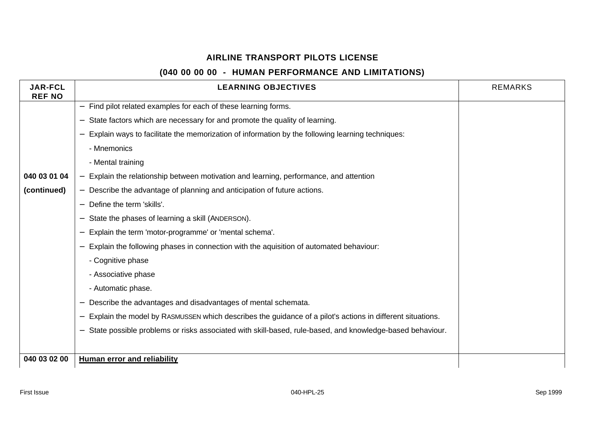| <b>JAR-FCL</b><br><b>REF NO</b> | <b>LEARNING OBJECTIVES</b>                                                                                | <b>REMARKS</b> |
|---------------------------------|-----------------------------------------------------------------------------------------------------------|----------------|
|                                 | Find pilot related examples for each of these learning forms.<br>$\qquad \qquad -$                        |                |
|                                 | State factors which are necessary for and promote the quality of learning.                                |                |
|                                 | Explain ways to facilitate the memorization of information by the following learning techniques:          |                |
|                                 | - Mnemonics                                                                                               |                |
|                                 | - Mental training                                                                                         |                |
| 040 03 01 04                    | Explain the relationship between motivation and learning, performance, and attention                      |                |
| (continued)                     | Describe the advantage of planning and anticipation of future actions.                                    |                |
|                                 | Define the term 'skills'.<br>$\overline{\phantom{0}}$                                                     |                |
|                                 | State the phases of learning a skill (ANDERSON).                                                          |                |
|                                 | Explain the term 'motor-programme' or 'mental schema'.                                                    |                |
|                                 | Explain the following phases in connection with the aquisition of automated behaviour:                    |                |
|                                 | - Cognitive phase                                                                                         |                |
|                                 | - Associative phase                                                                                       |                |
|                                 | - Automatic phase.                                                                                        |                |
|                                 | Describe the advantages and disadvantages of mental schemata.                                             |                |
|                                 | Explain the model by RASMUSSEN which describes the guidance of a pilot's actions in different situations. |                |
|                                 | State possible problems or risks associated with skill-based, rule-based, and knowledge-based behaviour.  |                |
|                                 |                                                                                                           |                |
| 040 03 02 00                    | <b>Human error and reliability</b>                                                                        |                |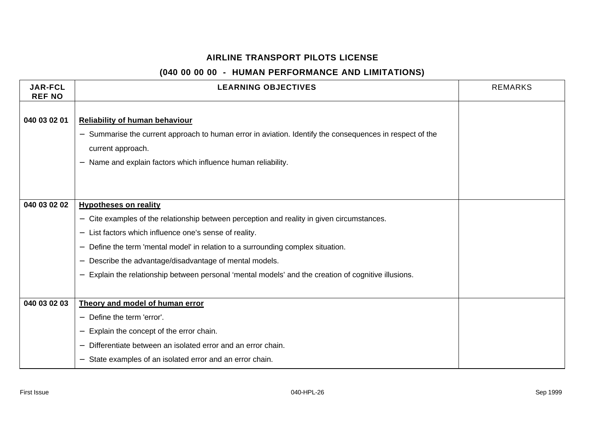| <b>JAR-FCL</b><br><b>REF NO</b> | <b>LEARNING OBJECTIVES</b>                                                                                                                        | <b>REMARKS</b> |
|---------------------------------|---------------------------------------------------------------------------------------------------------------------------------------------------|----------------|
| 040 03 02 01                    | <b>Reliability of human behaviour</b><br>- Summarise the current approach to human error in aviation. Identify the consequences in respect of the |                |
|                                 | current approach.                                                                                                                                 |                |
|                                 | Name and explain factors which influence human reliability.                                                                                       |                |
|                                 |                                                                                                                                                   |                |
|                                 |                                                                                                                                                   |                |
| 040 03 02 02                    | <b>Hypotheses on reality</b>                                                                                                                      |                |
|                                 | - Cite examples of the relationship between perception and reality in given circumstances.                                                        |                |
|                                 | List factors which influence one's sense of reality.                                                                                              |                |
|                                 | Define the term 'mental model' in relation to a surrounding complex situation.                                                                    |                |
|                                 | Describe the advantage/disadvantage of mental models.                                                                                             |                |
|                                 | Explain the relationship between personal 'mental models' and the creation of cognitive illusions.                                                |                |
|                                 |                                                                                                                                                   |                |
| 040 03 02 03                    | Theory and model of human error                                                                                                                   |                |
|                                 | Define the term 'error'.                                                                                                                          |                |
|                                 | Explain the concept of the error chain.                                                                                                           |                |
|                                 | Differentiate between an isolated error and an error chain.                                                                                       |                |
|                                 | State examples of an isolated error and an error chain.                                                                                           |                |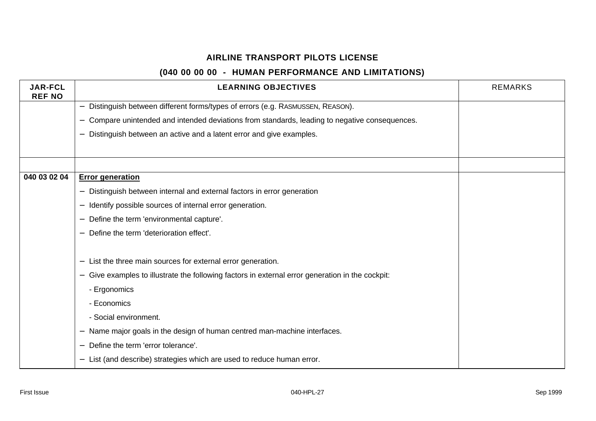| <b>JAR-FCL</b><br><b>REF NO</b> | <b>LEARNING OBJECTIVES</b>                                                                                | <b>REMARKS</b> |
|---------------------------------|-----------------------------------------------------------------------------------------------------------|----------------|
|                                 | Distinguish between different forms/types of errors (e.g. RASMUSSEN, REASON).<br>$\overline{\phantom{0}}$ |                |
|                                 | Compare unintended and intended deviations from standards, leading to negative consequences.              |                |
|                                 | Distinguish between an active and a latent error and give examples.                                       |                |
|                                 |                                                                                                           |                |
|                                 |                                                                                                           |                |
| 040 03 02 04                    | <b>Error generation</b>                                                                                   |                |
|                                 | Distinguish between internal and external factors in error generation                                     |                |
|                                 | Identify possible sources of internal error generation.<br>—                                              |                |
|                                 | Define the term 'environmental capture'.                                                                  |                |
|                                 | Define the term 'deterioration effect'.                                                                   |                |
|                                 |                                                                                                           |                |
|                                 | List the three main sources for external error generation.                                                |                |
|                                 | Give examples to illustrate the following factors in external error generation in the cockpit:            |                |
|                                 | - Ergonomics                                                                                              |                |
|                                 | - Economics                                                                                               |                |
|                                 | - Social environment.                                                                                     |                |
|                                 | Name major goals in the design of human centred man-machine interfaces.                                   |                |
|                                 | Define the term 'error tolerance'.                                                                        |                |
|                                 | List (and describe) strategies which are used to reduce human error.                                      |                |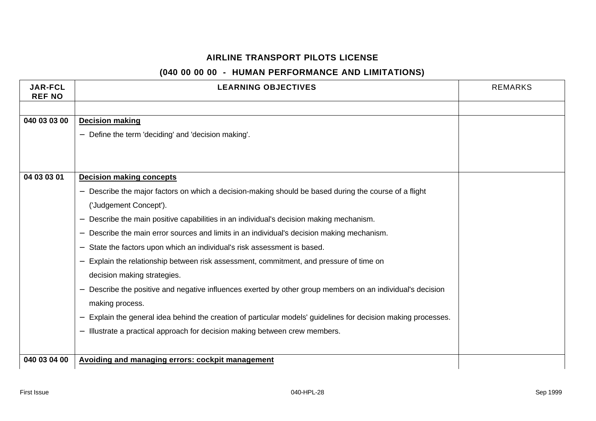| <b>JAR-FCL</b><br><b>REF NO</b> | <b>LEARNING OBJECTIVES</b>                                                                                        | <b>REMARKS</b> |
|---------------------------------|-------------------------------------------------------------------------------------------------------------------|----------------|
|                                 |                                                                                                                   |                |
| 040 03 03 00                    | <b>Decision making</b>                                                                                            |                |
|                                 | Define the term 'deciding' and 'decision making'.                                                                 |                |
|                                 |                                                                                                                   |                |
|                                 |                                                                                                                   |                |
| 04 03 03 01                     | <b>Decision making concepts</b>                                                                                   |                |
|                                 | Describe the major factors on which a decision-making should be based during the course of a flight               |                |
|                                 | ('Judgement Concept').                                                                                            |                |
|                                 | Describe the main positive capabilities in an individual's decision making mechanism.<br>$\overline{\phantom{m}}$ |                |
|                                 | Describe the main error sources and limits in an individual's decision making mechanism.                          |                |
|                                 | State the factors upon which an individual's risk assessment is based.                                            |                |
|                                 | Explain the relationship between risk assessment, commitment, and pressure of time on                             |                |
|                                 | decision making strategies.                                                                                       |                |
|                                 | Describe the positive and negative influences exerted by other group members on an individual's decision          |                |
|                                 | making process.                                                                                                   |                |
|                                 | Explain the general idea behind the creation of particular models' guidelines for decision making processes.      |                |
|                                 | Illustrate a practical approach for decision making between crew members.                                         |                |
|                                 |                                                                                                                   |                |
| 040 03 04 00                    | <b>Avoiding and managing errors: cockpit management</b>                                                           |                |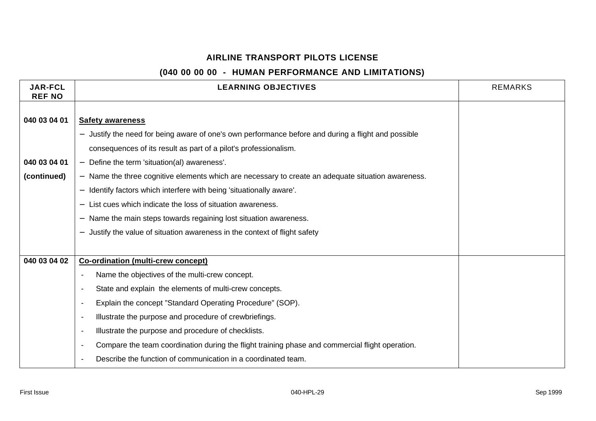| <b>JAR-FCL</b><br><b>REF NO</b> | <b>LEARNING OBJECTIVES</b>                                                                                                   | <b>REMARKS</b> |
|---------------------------------|------------------------------------------------------------------------------------------------------------------------------|----------------|
|                                 |                                                                                                                              |                |
| 040 03 04 01                    | <b>Safety awareness</b>                                                                                                      |                |
|                                 | Justify the need for being aware of one's own performance before and during a flight and possible                            |                |
|                                 | consequences of its result as part of a pilot's professionalism.                                                             |                |
| 040 03 04 01                    | Define the term 'situation(al) awareness'.                                                                                   |                |
| (continued)                     | Name the three cognitive elements which are necessary to create an adequate situation awareness.<br>$\overline{\phantom{0}}$ |                |
|                                 | Identify factors which interfere with being 'situationally aware'.<br>$\overline{\phantom{0}}$                               |                |
|                                 | List cues which indicate the loss of situation awareness.                                                                    |                |
|                                 | Name the main steps towards regaining lost situation awareness.<br>$\qquad \qquad -$                                         |                |
|                                 | Justify the value of situation awareness in the context of flight safety                                                     |                |
|                                 |                                                                                                                              |                |
| 040 03 04 02                    | Co-ordination (multi-crew concept)                                                                                           |                |
|                                 | Name the objectives of the multi-crew concept.<br>$\blacksquare$                                                             |                |
|                                 | State and explain the elements of multi-crew concepts.<br>$\overline{\phantom{a}}$                                           |                |
|                                 | Explain the concept "Standard Operating Procedure" (SOP).<br>$\overline{\phantom{a}}$                                        |                |
|                                 | Illustrate the purpose and procedure of crewbriefings.<br>$\overline{\phantom{a}}$                                           |                |
|                                 | Illustrate the purpose and procedure of checklists.<br>$\overline{\phantom{a}}$                                              |                |
|                                 | Compare the team coordination during the flight training phase and commercial flight operation.<br>$\blacksquare$            |                |
|                                 | Describe the function of communication in a coordinated team.<br>$\blacksquare$                                              |                |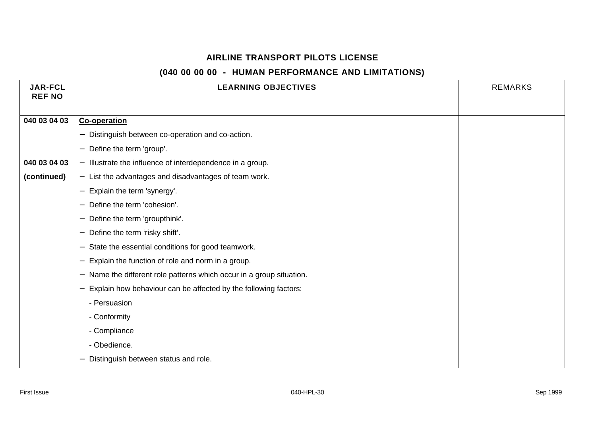| <b>JAR-FCL</b><br><b>REF NO</b> | <b>LEARNING OBJECTIVES</b>                                                                  | <b>REMARKS</b> |
|---------------------------------|---------------------------------------------------------------------------------------------|----------------|
|                                 |                                                                                             |                |
| 040 03 04 03                    | <b>Co-operation</b>                                                                         |                |
|                                 | Distinguish between co-operation and co-action.<br>$\qquad \qquad -$                        |                |
|                                 | Define the term 'group'.<br>$\overline{\phantom{m}}$                                        |                |
| 040 03 04 03                    | - Illustrate the influence of interdependence in a group.                                   |                |
| (continued)                     | - List the advantages and disadvantages of team work.                                       |                |
|                                 | Explain the term 'synergy'.<br>$\overline{\phantom{m}}$                                     |                |
|                                 | Define the term 'cohesion'.                                                                 |                |
|                                 | Define the term 'groupthink'.<br>$\overline{\phantom{m}}$                                   |                |
|                                 | Define the term 'risky shift'.<br>$\overline{\phantom{m}}$                                  |                |
|                                 | State the essential conditions for good teamwork.<br>$\overline{\phantom{m}}$               |                |
|                                 | Explain the function of role and norm in a group.                                           |                |
|                                 | - Name the different role patterns which occur in a group situation.                        |                |
|                                 | Explain how behaviour can be affected by the following factors:<br>$\overline{\phantom{m}}$ |                |
|                                 | - Persuasion                                                                                |                |
|                                 | - Conformity                                                                                |                |
|                                 | - Compliance                                                                                |                |
|                                 | - Obedience.                                                                                |                |
|                                 | Distinguish between status and role.                                                        |                |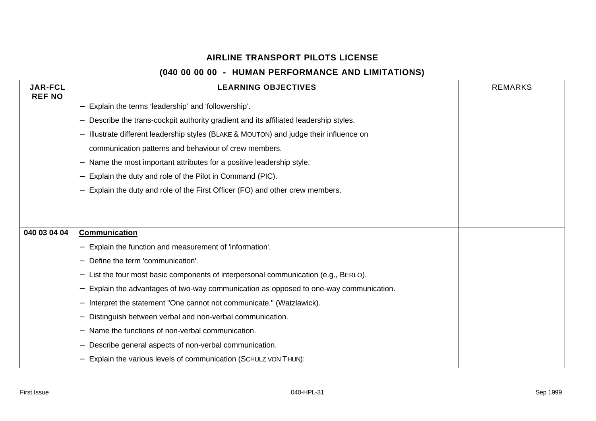| <b>JAR-FCL</b><br><b>REF NO</b> | <b>LEARNING OBJECTIVES</b>                                                           | <b>REMARKS</b> |
|---------------------------------|--------------------------------------------------------------------------------------|----------------|
|                                 | - Explain the terms 'leadership' and 'followership'.                                 |                |
|                                 | Describe the trans-cockpit authority gradient and its affiliated leadership styles.  |                |
|                                 | Illustrate different leadership styles (BLAKE & MOUTON) and judge their influence on |                |
|                                 | communication patterns and behaviour of crew members.                                |                |
|                                 | Name the most important attributes for a positive leadership style.                  |                |
|                                 | Explain the duty and role of the Pilot in Command (PIC).                             |                |
|                                 | Explain the duty and role of the First Officer (FO) and other crew members.          |                |
|                                 |                                                                                      |                |
|                                 |                                                                                      |                |
| 040 03 04 04                    | <b>Communication</b>                                                                 |                |
|                                 | Explain the function and measurement of 'information'.                               |                |
|                                 | Define the term 'communication'.                                                     |                |
|                                 | List the four most basic components of interpersonal communication (e.g., BERLO).    |                |
|                                 | Explain the advantages of two-way communication as opposed to one-way communication. |                |
|                                 | Interpret the statement "One cannot not communicate." (Watzlawick).                  |                |
|                                 | Distinguish between verbal and non-verbal communication.                             |                |
|                                 | Name the functions of non-verbal communication.                                      |                |
|                                 | Describe general aspects of non-verbal communication.                                |                |
|                                 | Explain the various levels of communication (SCHULZ VON THUN):                       |                |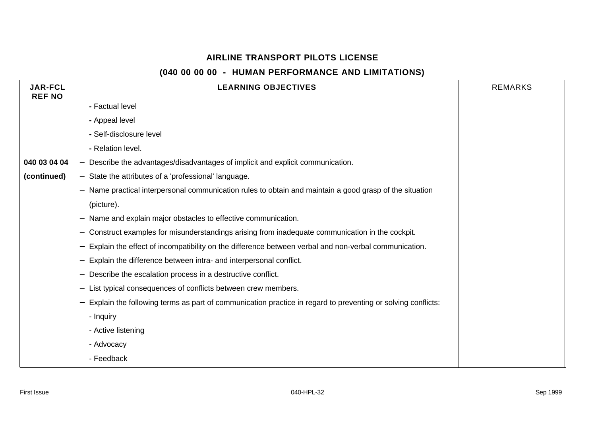| <b>JAR-FCL</b><br><b>REF NO</b> | <b>LEARNING OBJECTIVES</b>                                                                                  | <b>REMARKS</b> |
|---------------------------------|-------------------------------------------------------------------------------------------------------------|----------------|
|                                 | - Factual level                                                                                             |                |
|                                 | - Appeal level                                                                                              |                |
|                                 | - Self-disclosure level                                                                                     |                |
|                                 | - Relation level.                                                                                           |                |
| 040 03 04 04                    | Describe the advantages/disadvantages of implicit and explicit communication.                               |                |
| (continued)                     | State the attributes of a 'professional' language.                                                          |                |
|                                 | Name practical interpersonal communication rules to obtain and maintain a good grasp of the situation       |                |
|                                 | (picture).                                                                                                  |                |
|                                 | Name and explain major obstacles to effective communication.                                                |                |
|                                 | Construct examples for misunderstandings arising from inadequate communication in the cockpit.              |                |
|                                 | Explain the effect of incompatibility on the difference between verbal and non-verbal communication.        |                |
|                                 | Explain the difference between intra- and interpersonal conflict.                                           |                |
|                                 | Describe the escalation process in a destructive conflict.                                                  |                |
|                                 | List typical consequences of conflicts between crew members.                                                |                |
|                                 | Explain the following terms as part of communication practice in regard to preventing or solving conflicts: |                |
|                                 | - Inquiry                                                                                                   |                |
|                                 | - Active listening                                                                                          |                |
|                                 | - Advocacy                                                                                                  |                |
|                                 | - Feedback                                                                                                  |                |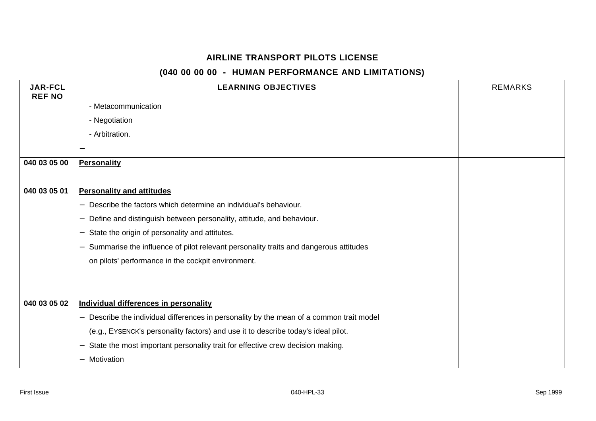| <b>LEARNING OBJECTIVES</b>                                                                                         | <b>REMARKS</b> |
|--------------------------------------------------------------------------------------------------------------------|----------------|
| - Metacommunication                                                                                                |                |
| - Negotiation                                                                                                      |                |
| - Arbitration.                                                                                                     |                |
|                                                                                                                    |                |
| <b>Personality</b>                                                                                                 |                |
|                                                                                                                    |                |
| <b>Personality and attitudes</b>                                                                                   |                |
| Describe the factors which determine an individual's behaviour.<br>$\qquad \qquad -$                               |                |
| Define and distinguish between personality, attitude, and behaviour.<br>$\overline{\phantom{m}}$                   |                |
| State the origin of personality and attitutes.<br>$\overline{\phantom{0}}$                                         |                |
| Summarise the influence of pilot relevant personality traits and dangerous attitudes<br>$\qquad \qquad -$          |                |
| on pilots' performance in the cockpit environment.                                                                 |                |
|                                                                                                                    |                |
|                                                                                                                    |                |
| Individual differences in personality                                                                              |                |
| Describe the individual differences in personality by the mean of a common trait model<br>$\overline{\phantom{0}}$ |                |
| (e.g., EYSENCK's personality factors) and use it to describe today's ideal pilot.                                  |                |
| State the most important personality trait for effective crew decision making.<br>$\overline{\phantom{m}}$         |                |
| Motivation<br>$\overline{\phantom{0}}$                                                                             |                |
|                                                                                                                    |                |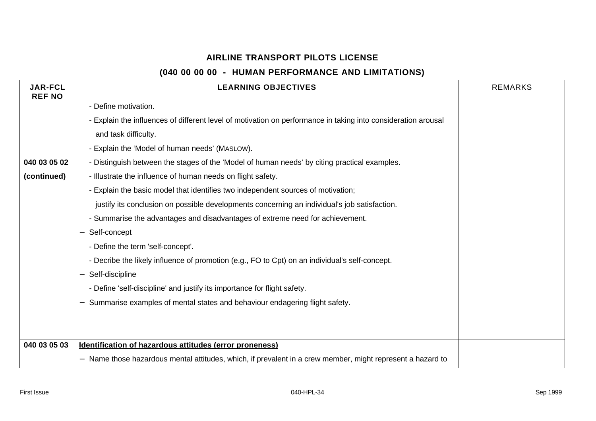| <b>JAR-FCL</b><br><b>REF NO</b> | <b>LEARNING OBJECTIVES</b>                                                                                    | <b>REMARKS</b> |
|---------------------------------|---------------------------------------------------------------------------------------------------------------|----------------|
|                                 | - Define motivation.                                                                                          |                |
|                                 | - Explain the influences of different level of motivation on performance in taking into consideration arousal |                |
|                                 | and task difficulty.                                                                                          |                |
|                                 | - Explain the 'Model of human needs' (MASLOW).                                                                |                |
| 040 03 05 02                    | - Distinguish between the stages of the 'Model of human needs' by citing practical examples.                  |                |
| (continued)                     | - Illustrate the influence of human needs on flight safety.                                                   |                |
|                                 | - Explain the basic model that identifies two independent sources of motivation;                              |                |
|                                 | justify its conclusion on possible developments concerning an individual's job satisfaction.                  |                |
|                                 | - Summarise the advantages and disadvantages of extreme need for achievement.                                 |                |
|                                 | Self-concept                                                                                                  |                |
|                                 | - Define the term 'self-concept'.                                                                             |                |
|                                 | - Decribe the likely influence of promotion (e.g., FO to Cpt) on an individual's self-concept.                |                |
|                                 | Self-discipline                                                                                               |                |
|                                 | - Define 'self-discipline' and justify its importance for flight safety.                                      |                |
|                                 | Summarise examples of mental states and behaviour endagering flight safety.                                   |                |
|                                 |                                                                                                               |                |
|                                 |                                                                                                               |                |
| 040 03 05 03                    | Identification of hazardous attitudes (error proneness)                                                       |                |
|                                 | - Name those hazardous mental attitudes, which, if prevalent in a crew member, might represent a hazard to    |                |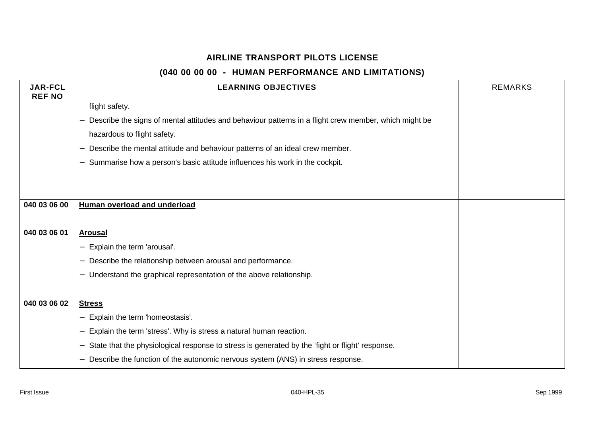| <b>JAR-FCL</b><br><b>REF NO</b> | <b>LEARNING OBJECTIVES</b>                                                                                                  | <b>REMARKS</b> |
|---------------------------------|-----------------------------------------------------------------------------------------------------------------------------|----------------|
|                                 | flight safety.                                                                                                              |                |
|                                 | Describe the signs of mental attitudes and behaviour patterns in a flight crew member, which might be                       |                |
|                                 | hazardous to flight safety.                                                                                                 |                |
|                                 | Describe the mental attitude and behaviour patterns of an ideal crew member.                                                |                |
|                                 | Summarise how a person's basic attitude influences his work in the cockpit.                                                 |                |
|                                 |                                                                                                                             |                |
|                                 |                                                                                                                             |                |
| 040 03 06 00                    | Human overload and underload                                                                                                |                |
|                                 |                                                                                                                             |                |
| 040 03 06 01                    | <b>Arousal</b>                                                                                                              |                |
|                                 | Explain the term 'arousal'.                                                                                                 |                |
|                                 | Describe the relationship between arousal and performance.<br>$\overline{\phantom{m}}$                                      |                |
|                                 | Understand the graphical representation of the above relationship.                                                          |                |
|                                 |                                                                                                                             |                |
| 040 03 06 02                    | <b>Stress</b>                                                                                                               |                |
|                                 | Explain the term 'homeostasis'.                                                                                             |                |
|                                 | Explain the term 'stress'. Why is stress a natural human reaction.                                                          |                |
|                                 | State that the physiological response to stress is generated by the 'fight or flight' response.<br>$\overline{\phantom{m}}$ |                |
|                                 | Describe the function of the autonomic nervous system (ANS) in stress response.                                             |                |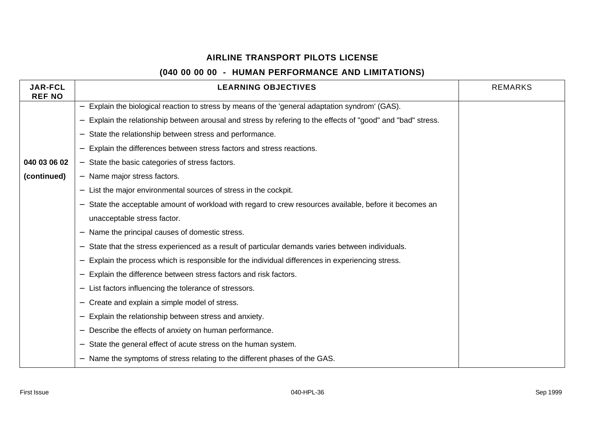| <b>JAR-FCL</b><br><b>REF NO</b> | <b>LEARNING OBJECTIVES</b>                                                                                                | <b>REMARKS</b> |
|---------------------------------|---------------------------------------------------------------------------------------------------------------------------|----------------|
|                                 | Explain the biological reaction to stress by means of the 'general adaptation syndrom' (GAS).<br>$\overline{\phantom{0}}$ |                |
|                                 | Explain the relationship between arousal and stress by refering to the effects of "good" and "bad" stress.                |                |
|                                 | State the relationship between stress and performance.                                                                    |                |
|                                 | Explain the differences between stress factors and stress reactions.                                                      |                |
| 040 03 06 02                    | - State the basic categories of stress factors.                                                                           |                |
| (continued)                     | - Name major stress factors.                                                                                              |                |
|                                 | List the major environmental sources of stress in the cockpit.                                                            |                |
|                                 | State the acceptable amount of workload with regard to crew resources available, before it becomes an                     |                |
|                                 | unacceptable stress factor.                                                                                               |                |
|                                 | Name the principal causes of domestic stress.                                                                             |                |
|                                 | State that the stress experienced as a result of particular demands varies between individuals.                           |                |
|                                 | Explain the process which is responsible for the individual differences in experiencing stress.                           |                |
|                                 | Explain the difference between stress factors and risk factors.                                                           |                |
|                                 | List factors influencing the tolerance of stressors.                                                                      |                |
|                                 | Create and explain a simple model of stress.                                                                              |                |
|                                 | Explain the relationship between stress and anxiety.                                                                      |                |
|                                 | Describe the effects of anxiety on human performance.                                                                     |                |
|                                 | State the general effect of acute stress on the human system.                                                             |                |
|                                 | Name the symptoms of stress relating to the different phases of the GAS.                                                  |                |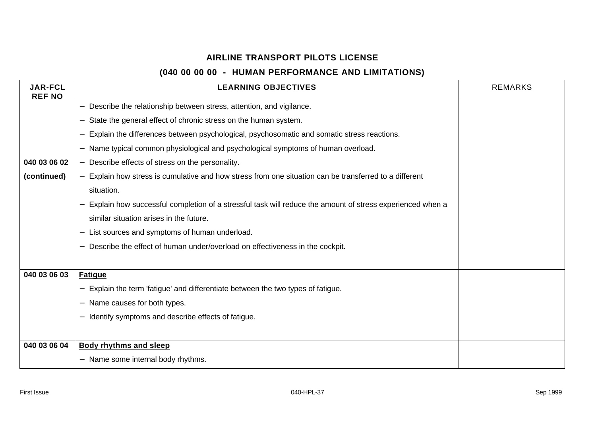| <b>JAR-FCL</b><br><b>REF NO</b> | <b>LEARNING OBJECTIVES</b>                                                                                                       | <b>REMARKS</b> |
|---------------------------------|----------------------------------------------------------------------------------------------------------------------------------|----------------|
|                                 | Describe the relationship between stress, attention, and vigilance.<br>$\qquad \qquad -$                                         |                |
|                                 | State the general effect of chronic stress on the human system.<br>$\qquad \qquad -$                                             |                |
|                                 | Explain the differences between psychological, psychosomatic and somatic stress reactions.<br>$\overline{\phantom{m}}$           |                |
|                                 | Name typical common physiological and psychological symptoms of human overload.                                                  |                |
| 040 03 06 02                    | Describe effects of stress on the personality.<br>$\overline{\phantom{0}}$                                                       |                |
| (continued)                     | Explain how stress is cumulative and how stress from one situation can be transferred to a different<br>$\overline{\phantom{0}}$ |                |
|                                 | situation.                                                                                                                       |                |
|                                 | Explain how successful completion of a stressful task will reduce the amount of stress experienced when a                        |                |
|                                 | similar situation arises in the future.                                                                                          |                |
|                                 | List sources and symptoms of human underload.                                                                                    |                |
|                                 | Describe the effect of human under/overload on effectiveness in the cockpit.<br>$\overline{\phantom{m}}$                         |                |
|                                 |                                                                                                                                  |                |
| 040 03 06 03                    | <b>Fatigue</b>                                                                                                                   |                |
|                                 | Explain the term 'fatigue' and differentiate between the two types of fatigue.                                                   |                |
|                                 | Name causes for both types.                                                                                                      |                |
|                                 | Identify symptoms and describe effects of fatigue.                                                                               |                |
|                                 |                                                                                                                                  |                |
| 040 03 06 04                    | <b>Body rhythms and sleep</b>                                                                                                    |                |
|                                 | Name some internal body rhythms.<br>$\overline{\phantom{0}}$                                                                     |                |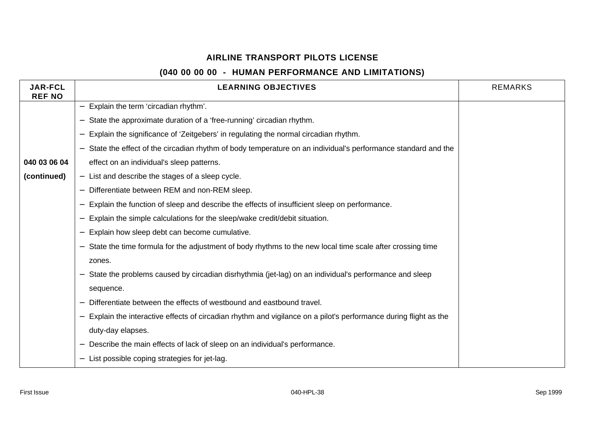| <b>JAR-FCL</b><br><b>REF NO</b> | <b>LEARNING OBJECTIVES</b>                                                                                      | <b>REMARKS</b> |
|---------------------------------|-----------------------------------------------------------------------------------------------------------------|----------------|
|                                 | - Explain the term 'circadian rhythm'.                                                                          |                |
|                                 | State the approximate duration of a 'free-running' circadian rhythm.                                            |                |
|                                 | Explain the significance of 'Zeitgebers' in regulating the normal circadian rhythm.                             |                |
|                                 | - State the effect of the circadian rhythm of body temperature on an individual's performance standard and the  |                |
| 040 03 06 04                    | effect on an individual's sleep patterns.                                                                       |                |
| (continued)                     | - List and describe the stages of a sleep cycle.                                                                |                |
|                                 | Differentiate between REM and non-REM sleep.                                                                    |                |
|                                 | Explain the function of sleep and describe the effects of insufficient sleep on performance.                    |                |
|                                 | Explain the simple calculations for the sleep/wake credit/debit situation.                                      |                |
|                                 | Explain how sleep debt can become cumulative.                                                                   |                |
|                                 | State the time formula for the adjustment of body rhythms to the new local time scale after crossing time       |                |
|                                 | zones.                                                                                                          |                |
|                                 | State the problems caused by circadian disrhythmia (jet-lag) on an individual's performance and sleep           |                |
|                                 | sequence.                                                                                                       |                |
|                                 | Differentiate between the effects of westbound and eastbound travel.                                            |                |
|                                 | Explain the interactive effects of circadian rhythm and vigilance on a pilot's performance during flight as the |                |
|                                 | duty-day elapses.                                                                                               |                |
|                                 | Describe the main effects of lack of sleep on an individual's performance.                                      |                |
|                                 | List possible coping strategies for jet-lag.                                                                    |                |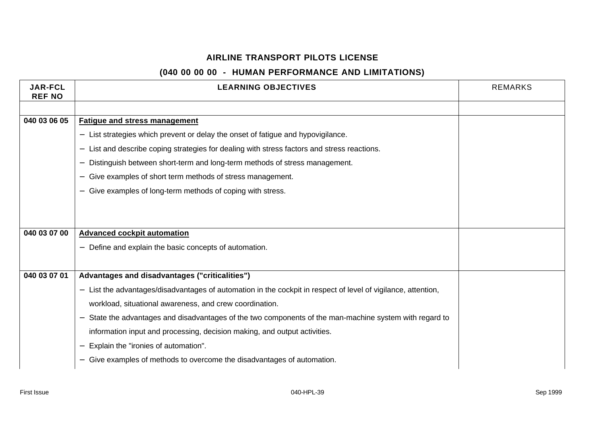| <b>JAR-FCL</b><br><b>REF NO</b> | <b>LEARNING OBJECTIVES</b>                                                                                     | <b>REMARKS</b> |
|---------------------------------|----------------------------------------------------------------------------------------------------------------|----------------|
|                                 |                                                                                                                |                |
| 040 03 06 05                    | <b>Fatigue and stress management</b>                                                                           |                |
|                                 | List strategies which prevent or delay the onset of fatigue and hypovigilance.<br>$\overline{\phantom{0}}$     |                |
|                                 | List and describe coping strategies for dealing with stress factors and stress reactions.<br>$\qquad \qquad -$ |                |
|                                 | Distinguish between short-term and long-term methods of stress management.                                     |                |
|                                 | Give examples of short term methods of stress management.<br>$\overline{\phantom{m}}$                          |                |
|                                 | Give examples of long-term methods of coping with stress.                                                      |                |
|                                 |                                                                                                                |                |
|                                 |                                                                                                                |                |
| 040 03 07 00                    | <b>Advanced cockpit automation</b>                                                                             |                |
|                                 | Define and explain the basic concepts of automation.                                                           |                |
|                                 |                                                                                                                |                |
| 040 03 07 01                    | Advantages and disadvantages ("criticalities")                                                                 |                |
|                                 | - List the advantages/disadvantages of automation in the cockpit in respect of level of vigilance, attention,  |                |
|                                 | workload, situational awareness, and crew coordination.                                                        |                |
|                                 | State the advantages and disadvantages of the two components of the man-machine system with regard to          |                |
|                                 | information input and processing, decision making, and output activities.                                      |                |
|                                 | Explain the "ironies of automation".                                                                           |                |
|                                 | Give examples of methods to overcome the disadvantages of automation.                                          |                |